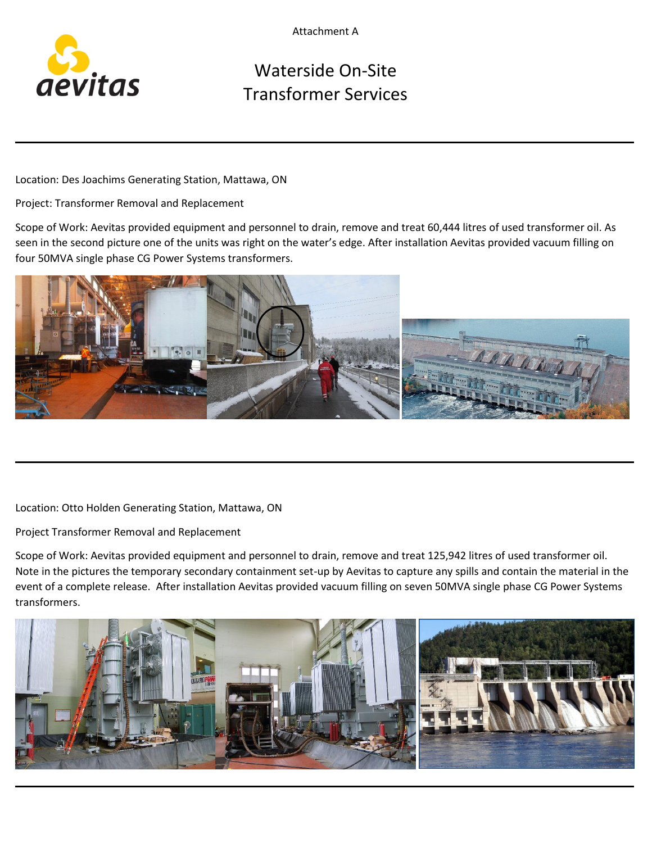

## Waterside On-Site Transformer Services

Location: Des Joachims Generating Station, Mattawa, ON

Project: Transformer Removal and Replacement

Scope of Work: Aevitas provided equipment and personnel to drain, remove and treat 60,444 litres of used transformer oil. As seen in the second picture one of the units was right on the water's edge. After installation Aevitas provided vacuum filling on four 50MVA single phase CG Power Systems transformers.



Location: Otto Holden Generating Station, Mattawa, ON

Project Transformer Removal and Replacement

Scope of Work: Aevitas provided equipment and personnel to drain, remove and treat 125,942 litres of used transformer oil. Note in the pictures the temporary secondary containment set-up by Aevitas to capture any spills and contain the material in the event of a complete release. After installation Aevitas provided vacuum filling on seven 50MVA single phase CG Power Systems transformers.

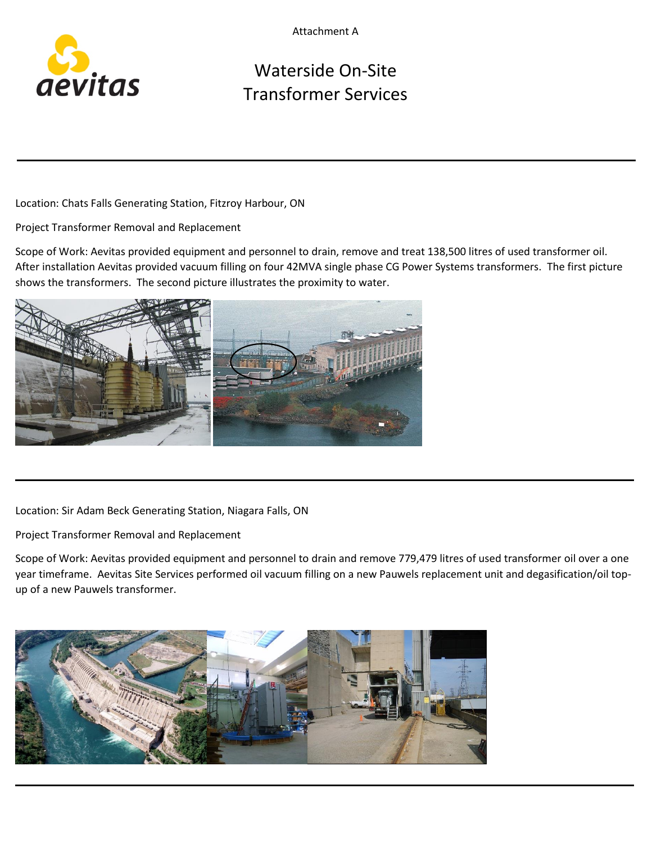Attachment A



## Waterside On-Site Transformer Services

Location: Chats Falls Generating Station, Fitzroy Harbour, ON

Project Transformer Removal and Replacement

Scope of Work: Aevitas provided equipment and personnel to drain, remove and treat 138,500 litres of used transformer oil. After installation Aevitas provided vacuum filling on four 42MVA single phase CG Power Systems transformers. The first picture shows the transformers. The second picture illustrates the proximity to water.



Location: Sir Adam Beck Generating Station, Niagara Falls, ON

Project Transformer Removal and Replacement

Scope of Work: Aevitas provided equipment and personnel to drain and remove 779,479 litres of used transformer oil over a one year timeframe. Aevitas Site Services performed oil vacuum filling on a new Pauwels replacement unit and degasification/oil topup of a new Pauwels transformer.